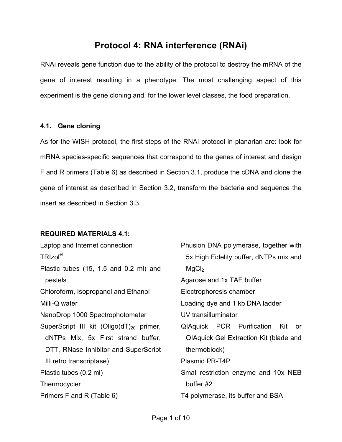# **Protocol 4: RNA interference (RNAi)**

RNAi reveals gene function due to the ability of the protocol to destroy the mRNA of the gene of interest resulting in a phenotype. The most challenging aspect of this experiment is the gene cloning and, for the lower level classes, the food preparation.

### **4.1. Gene cloning**

As for the WISH protocol, the first steps of the RNAi protocol in planarian are: look for mRNA species-specific sequences that correspond to the genes of interest and design F and R primers (Table 6) as described in Section 3.1, produce the cDNA and clone the gene of interest as described in Section 3.2, transform the bacteria and sequence the insert as described in Section 3.3.

## **REQUIRED MATERIALS 4.1:**

| Laptop and Internet connection                       | Phusion DNA polymerase, together with         |  |  |
|------------------------------------------------------|-----------------------------------------------|--|--|
| TRIzol <sup>®</sup>                                  | 5x High Fidelity buffer, dNTPs mix and        |  |  |
| Plastic tubes (15, 1.5 and 0.2 ml) and               | MgCl <sub>2</sub>                             |  |  |
| pestels                                              | Agarose and 1x TAE buffer                     |  |  |
| Chloroform, Isopropanol and Ethanol                  | Electrophoresis chamber                       |  |  |
| Milli-Q water                                        | Loading dye and 1 kb DNA ladder               |  |  |
| NanoDrop 1000 Spectrophotometer                      | UV transilluminator                           |  |  |
| SuperScript III kit (Oligo(dT) <sub>20</sub> primer, | QIAquick PCR Purification<br>Kit<br>or        |  |  |
| dNTPs Mix, 5x First strand buffer,                   | <b>QIAquick Gel Extraction Kit (blade and</b> |  |  |
| DTT, RNase Inhibitor and SuperScript                 | thermoblock)                                  |  |  |
| III retro transcriptase)                             | Plasmid PR-T4P                                |  |  |
| Plastic tubes (0.2 ml)                               | Smal restriction enzyme and 10x NEB           |  |  |
| Thermocycler                                         | buffer #2                                     |  |  |
| Primers F and R (Table 6)                            | T4 polymerase, its buffer and BSA             |  |  |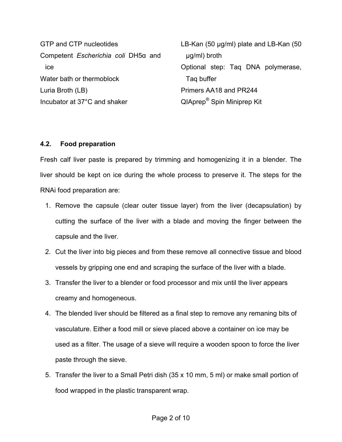GTP and CTP nucleotides Competent *Escherichia coli* DH5α and ice Water bath or thermoblock Luria Broth (LB) Incubator at 37°C and shaker

LB-Kan (50 µg/ml) plate and LB-Kan (50 µg/ml) broth Optional step: Taq DNA polymerase, Taq buffer Primers AA18 and PR244 QIAprep® Spin Miniprep Kit

### **4.2. Food preparation**

Fresh calf liver paste is prepared by trimming and homogenizing it in a blender. The liver should be kept on ice during the whole process to preserve it. The steps for the RNAi food preparation are:

- 1. Remove the capsule (clear outer tissue layer) from the liver (decapsulation) by cutting the surface of the liver with a blade and moving the finger between the capsule and the liver.
- 2. Cut the liver into big pieces and from these remove all connective tissue and blood vessels by gripping one end and scraping the surface of the liver with a blade.
- 3. Transfer the liver to a blender or food processor and mix until the liver appears creamy and homogeneous.
- 4. The blended liver should be filtered as a final step to remove any remaning bits of vasculature. Either a food mill or sieve placed above a container on ice may be used as a filter. The usage of a sieve will require a wooden spoon to force the liver paste through the sieve.
- 5. Transfer the liver to a Small Petri dish (35 x 10 mm, 5 ml) or make small portion of food wrapped in the plastic transparent wrap.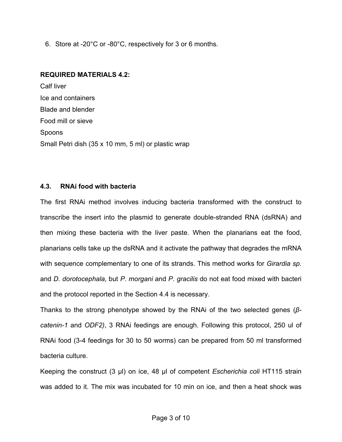6. Store at -20°C or -80°C, respectively for 3 or 6 months.

#### **REQUIRED MATERIALS 4.2:**

Calf liver Ice and containers Blade and blender Food mill or sieve Spoons Small Petri dish (35 x 10 mm, 5 ml) or plastic wrap

### **4.3. RNAi food with bacteria**

The first RNAi method involves inducing bacteria transformed with the construct to transcribe the insert into the plasmid to generate double-stranded RNA (dsRNA) and then mixing these bacteria with the liver paste. When the planarians eat the food, planarians cells take up the dsRNA and it activate the pathway that degrades the mRNA with sequence complementary to one of its strands. This method works for *Girardia sp.* and *D. dorotocephala*, but *P. morgani* and *P. gracilis* do not eat food mixed with bacteri and the protocol reported in the Section 4.4 is necessary.

Thanks to the strong phenotype showed by the RNAi of the two selected genes (*βcatenin-1* and *ODF2)*, 3 RNAi feedings are enough. Following this protocol, 250 ul of RNAi food (3-4 feedings for 30 to 50 worms) can be prepared from 50 ml transformed bacteria culture.

Keeping the construct (3 µl) on ice, 48 µl of competent *Escherichia coli* HT115 strain was added to it. The mix was incubated for 10 min on ice, and then a heat shock was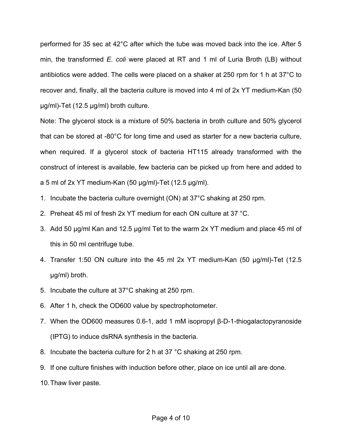performed for 35 sec at 42°C after which the tube was moved back into the ice. After 5 min, the transformed *E. coli* were placed at RT and 1 ml of Luria Broth (LB) without antibiotics were added. The cells were placed on a shaker at 250 rpm for 1 h at 37°C to recover and, finally, all the bacteria culture is moved into 4 ml of 2x YT medium-Kan (50 µg/ml)-Tet (12.5 µg/ml) broth culture.

Note: The glycerol stock is a mixture of 50% bacteria in broth culture and 50% glycerol that can be stored at -80°C for long time and used as starter for a new bacteria culture, when required. If a glycerol stock of bacteria HT115 already transformed with the construct of interest is available, few bacteria can be picked up from here and added to a 5 ml of 2x YT medium-Kan  $(50 \mu g/ml)$ -Tet  $(12.5 \mu g/ml)$ .

- 1. Incubate the bacteria culture overnight (ON) at 37°C shaking at 250 rpm.
- 2. Preheat 45 ml of fresh 2x YT medium for each ON culture at 37 °C.
- 3. Add 50 µg/ml Kan and 12.5 µg/ml Tet to the warm 2x YT medium and place 45 ml of this in 50 ml centrifuge tube.
- 4. Transfer 1:50 ON culture into the 45 ml 2x YT medium-Kan (50 µg/ml)-Tet (12.5 µg/ml) broth.
- 5. Incubate the culture at 37°C shaking at 250 rpm.
- 6. After 1 h, check the OD600 value by spectrophotometer.
- 7. When the OD600 measures 0.6-1, add 1 mM isopropyl β-D-1-thiogalactopyranoside (IPTG) to induce dsRNA synthesis in the bacteria.
- 8. Incubate the bacteria culture for 2 h at 37 °C shaking at 250 rpm.
- 9. If one culture finishes with induction before other, place on ice until all are done.
- 10.Thaw liver paste.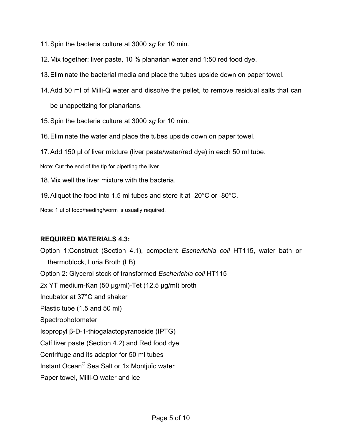- 11.Spin the bacteria culture at 3000 x*g* for 10 min.
- 12.Mix together: liver paste, 10 % planarian water and 1:50 red food dye.
- 13.Eliminate the bacterial media and place the tubes upside down on paper towel.
- 14.Add 50 ml of Milli-Q water and dissolve the pellet, to remove residual salts that can be unappetizing for planarians.
- 15.Spin the bacteria culture at 3000 x*g* for 10 min.
- 16.Eliminate the water and place the tubes upside down on paper towel.
- 17.Add 150 µl of liver mixture (liver paste/water/red dye) in each 50 ml tube.

Note: Cut the end of the tip for pipetting the liver.

- 18.Mix well the liver mixture with the bacteria.
- 19.Aliquot the food into 1.5 ml tubes and store it at -20°C or -80°C.

Note: 1 ul of food/feeding/worm is usually required.

#### **REQUIRED MATERIALS 4.3:**

Option 1:Construct (Section 4.1), competent *Escherichia coli* HT115, water bath or thermoblock, Luria Broth (LB) Option 2: Glycerol stock of transformed *Escherichia coli* HT115 2x YT medium-Kan (50 µg/ml)-Tet (12.5 µg/ml) broth Incubator at 37°C and shaker Plastic tube (1.5 and 50 ml) Spectrophotometer Isopropyl β-D-1-thiogalactopyranoside (IPTG) Calf liver paste (Section 4.2) and Red food dye Centrifuge and its adaptor for 50 ml tubes Instant Ocean® Sea Salt or 1x Montjuïc water Paper towel, Milli-Q water and ice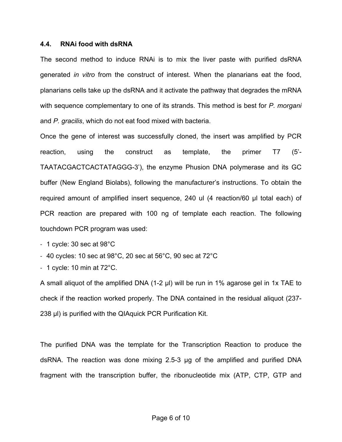#### **4.4. RNAi food with dsRNA**

The second method to induce RNAi is to mix the liver paste with purified dsRNA generated *in vitro* from the construct of interest. When the planarians eat the food, planarians cells take up the dsRNA and it activate the pathway that degrades the mRNA with sequence complementary to one of its strands. This method is best for *P. morgani* and *P. gracilis*, which do not eat food mixed with bacteria.

Once the gene of interest was successfully cloned, the insert was amplified by PCR reaction, using the construct as template, the primer T7 (5'- TAATACGACTCACTATAGGG-3'), the enzyme Phusion DNA polymerase and its GC buffer (New England Biolabs), following the manufacturer's instructions. To obtain the required amount of amplified insert sequence, 240 ul (4 reaction/60 µl total each) of PCR reaction are prepared with 100 ng of template each reaction. The following touchdown PCR program was used:

- $-1$  cycle: 30 sec at 98 $^{\circ}$ C
- $-$  40 cycles: 10 sec at 98°C, 20 sec at 56°C, 90 sec at 72°C
- $-1$  cycle: 10 min at  $72^{\circ}$ C.

A small aliquot of the amplified DNA (1-2 µl) will be run in 1% agarose gel in 1x TAE to check if the reaction worked properly. The DNA contained in the residual aliquot (237- 238 µ, is purified with the QIAquick PCR Purification Kit.

The purified DNA was the template for the Transcription Reaction to produce the dsRNA. The reaction was done mixing 2.5-3 µg of the amplified and purified DNA fragment with the transcription buffer, the ribonucleotide mix (ATP, CTP, GTP and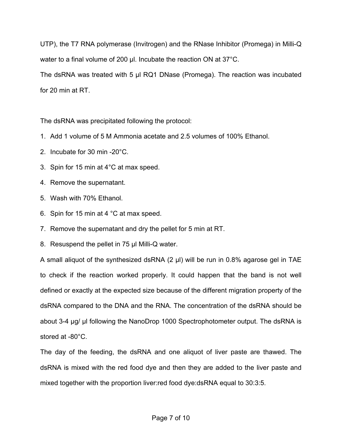UTP), the T7 RNA polymerase (Invitrogen) and the RNase Inhibitor (Promega) in Milli-Q water to a final volume of 200 µl. Incubate the reaction ON at 37°C. The dsRNA was treated with 5 µl RQ1 DNase (Promega). The reaction was incubated for 20 min at RT.

The dsRNA was precipitated following the protocol:

- 1. Add 1 volume of 5 M Ammonia acetate and 2.5 volumes of 100% Ethanol.
- 2. Incubate for 30 min -20°C.
- 3. Spin for 15 min at 4°C at max speed.
- 4. Remove the supernatant.
- 5. Wash with 70% Ethanol.
- 6. Spin for 15 min at 4 °C at max speed.
- 7. Remove the supernatant and dry the pellet for 5 min at RT.
- 8. Resuspend the pellet in 75 µl Milli-Q water.

A small aliquot of the synthesized dsRNA (2 µl) will be run in 0.8% agarose gel in TAE to check if the reaction worked properly. It could happen that the band is not well defined or exactly at the expected size because of the different migration property of the dsRNA compared to the DNA and the RNA. The concentration of the dsRNA should be about 3-4 µg/ µl following the NanoDrop 1000 Spectrophotometer output. The dsRNA is stored at -80°C.

The day of the feeding, the dsRNA and one aliquot of liver paste are thawed. The dsRNA is mixed with the red food dye and then they are added to the liver paste and mixed together with the proportion liver:red food dye:dsRNA equal to 30:3:5.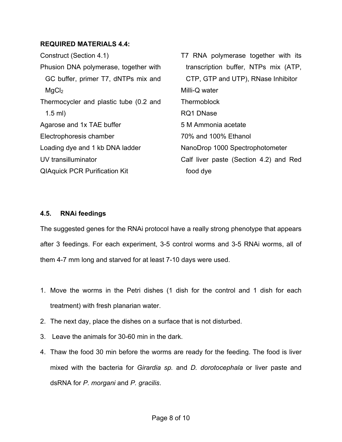#### **REQUIRED MATERIALS 4.4:**

Construct (Section 4.1) Phusion DNA polymerase, together with GC buffer, primer T7, dNTPs mix and  $MgCl<sub>2</sub>$ Thermocycler and plastic tube (0.2 and 1.5 ml) Agarose and 1x TAE buffer Electrophoresis chamber Loading dye and 1 kb DNA ladder UV transilluminator QIAquick PCR Purification Kit

T7 RNA polymerase together with its transcription buffer, NTPs mix (ATP, CTP, GTP and UTP), RNase Inhibitor Milli-Q water **Thermoblock** RQ1 DNase 5 M Ammonia acetate 70% and 100% Ethanol NanoDrop 1000 Spectrophotometer Calf liver paste (Section 4.2) and Red food dye

## **4.5. RNAi feedings**

The suggested genes for the RNAi protocol have a really strong phenotype that appears after 3 feedings. For each experiment, 3-5 control worms and 3-5 RNAi worms, all of them 4-7 mm long and starved for at least 7-10 days were used.

- 1. Move the worms in the Petri dishes (1 dish for the control and 1 dish for each treatment) with fresh planarian water.
- 2. The next day, place the dishes on a surface that is not disturbed.
- 3. Leave the animals for 30-60 min in the dark.
- 4. Thaw the food 30 min before the worms are ready for the feeding. The food is liver mixed with the bacteria for *Girardia sp.* and *D. dorotocephala* or liver paste and dsRNA for *P. morgani* and *P. gracilis*.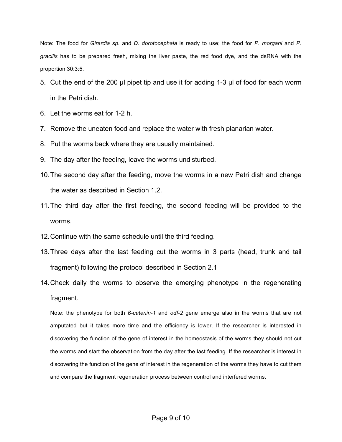Note: The food for *Girardia sp.* and *D. dorotocephala* is ready to use; the food for *P. morgani* and *P. gracilis* has to be prepared fresh, mixing the liver paste, the red food dye, and the dsRNA with the proportion 30:3:5.

- 5. Cut the end of the 200 µl pipet tip and use it for adding 1-3 µl of food for each worm in the Petri dish.
- 6. Let the worms eat for 1-2 h.
- 7. Remove the uneaten food and replace the water with fresh planarian water.
- 8. Put the worms back where they are usually maintained.
- 9. The day after the feeding, leave the worms undisturbed.
- 10.The second day after the feeding, move the worms in a new Petri dish and change the water as described in Section 1.2.
- 11.The third day after the first feeding, the second feeding will be provided to the worms.
- 12.Continue with the same schedule until the third feeding.
- 13.Three days after the last feeding cut the worms in 3 parts (head, trunk and tail fragment) following the protocol described in Section 2.1
- 14.Check daily the worms to observe the emerging phenotype in the regenerating fragment.

Note: the phenotype for both *β-catenin-1* and *odf-2* gene emerge also in the worms that are not amputated but it takes more time and the efficiency is lower. If the researcher is interested in discovering the function of the gene of interest in the homeostasis of the worms they should not cut the worms and start the observation from the day after the last feeding. If the researcher is interest in discovering the function of the gene of interest in the regeneration of the worms they have to cut them and compare the fragment regeneration process between control and interfered worms.